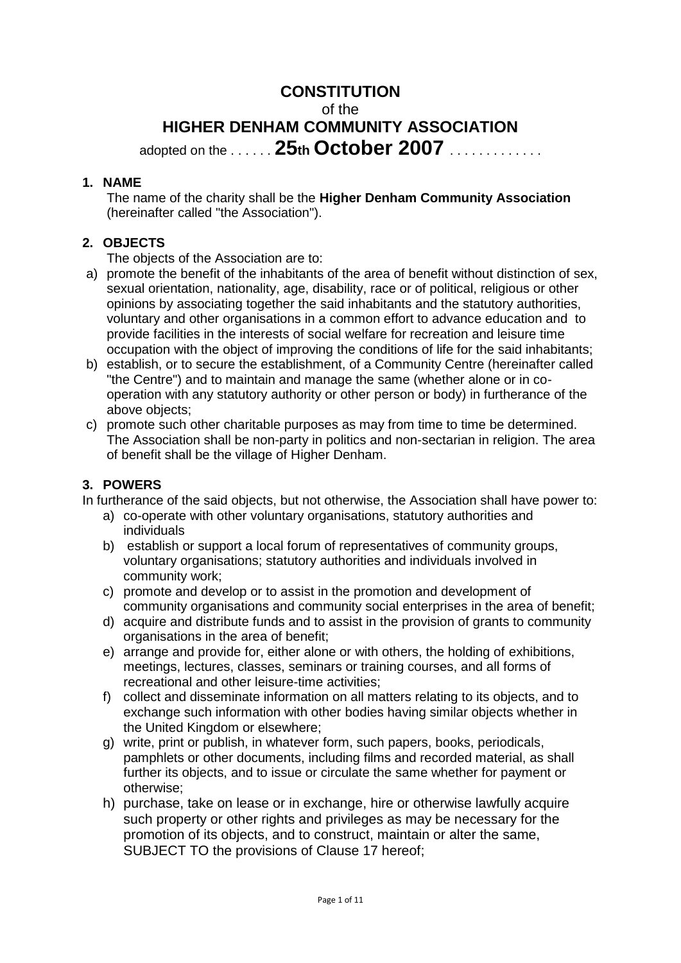# **CONSTITUTION**

of the

# **HIGHER DENHAM COMMUNITY ASSOCIATION** adopted on the . . . . . . **25th October 2007** . . . . . . . . . . . . .

#### **1. NAME**

The name of the charity shall be the **Higher Denham Community Association** (hereinafter called "the Association").

#### **2. OBJECTS**

The objects of the Association are to:

- a) promote the benefit of the inhabitants of the area of benefit without distinction of sex, sexual orientation, nationality, age, disability, race or of political, religious or other opinions by associating together the said inhabitants and the statutory authorities, voluntary and other organisations in a common effort to advance education and to provide facilities in the interests of social welfare for recreation and leisure time occupation with the object of improving the conditions of life for the said inhabitants;
- b) establish, or to secure the establishment, of a Community Centre (hereinafter called "the Centre") and to maintain and manage the same (whether alone or in cooperation with any statutory authority or other person or body) in furtherance of the above objects;
- c) promote such other charitable purposes as may from time to time be determined. The Association shall be non-party in politics and non-sectarian in religion. The area of benefit shall be the village of Higher Denham.

#### **3. POWERS**

In furtherance of the said objects, but not otherwise, the Association shall have power to:

- a) co-operate with other voluntary organisations, statutory authorities and individuals
- b) establish or support a local forum of representatives of community groups, voluntary organisations; statutory authorities and individuals involved in community work;
- c) promote and develop or to assist in the promotion and development of community organisations and community social enterprises in the area of benefit;
- d) acquire and distribute funds and to assist in the provision of grants to community organisations in the area of benefit;
- e) arrange and provide for, either alone or with others, the holding of exhibitions, meetings, lectures, classes, seminars or training courses, and all forms of recreational and other leisure-time activities;
- f) collect and disseminate information on all matters relating to its objects, and to exchange such information with other bodies having similar objects whether in the United Kingdom or elsewhere;
- g) write, print or publish, in whatever form, such papers, books, periodicals, pamphlets or other documents, including films and recorded material, as shall further its objects, and to issue or circulate the same whether for payment or otherwise;
- h) purchase, take on lease or in exchange, hire or otherwise lawfully acquire such property or other rights and privileges as may be necessary for the promotion of its objects, and to construct, maintain or alter the same, SUBJECT TO the provisions of Clause 17 hereof;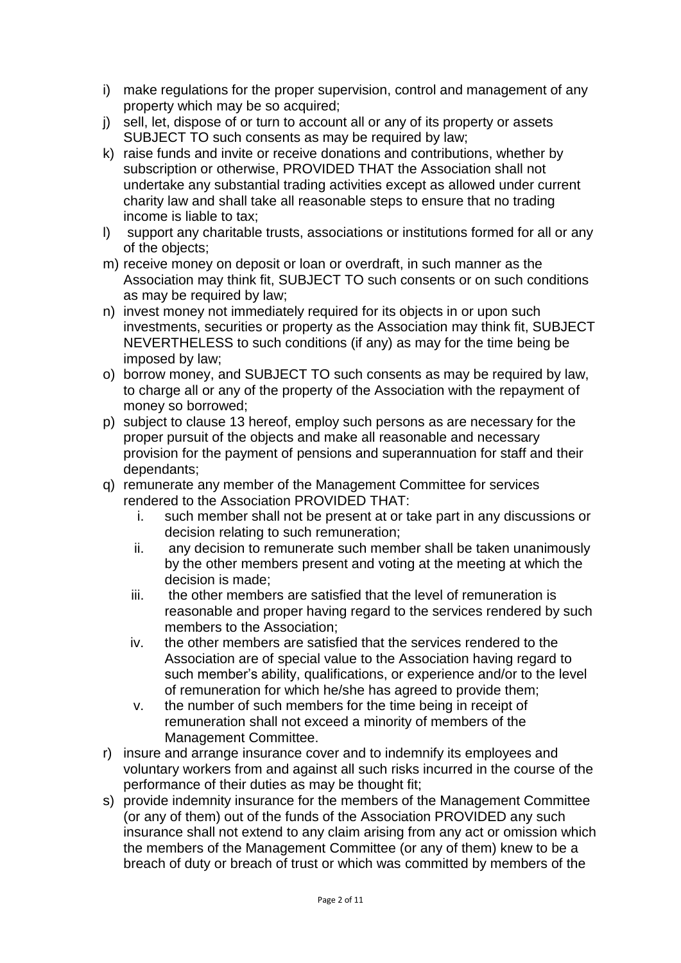- i) make regulations for the proper supervision, control and management of any property which may be so acquired;
- j) sell, let, dispose of or turn to account all or any of its property or assets SUBJECT TO such consents as may be required by law;
- k) raise funds and invite or receive donations and contributions, whether by subscription or otherwise, PROVIDED THAT the Association shall not undertake any substantial trading activities except as allowed under current charity law and shall take all reasonable steps to ensure that no trading income is liable to tax;
- l) support any charitable trusts, associations or institutions formed for all or any of the objects;
- m) receive money on deposit or loan or overdraft, in such manner as the Association may think fit, SUBJECT TO such consents or on such conditions as may be required by law;
- n) invest money not immediately required for its objects in or upon such investments, securities or property as the Association may think fit, SUBJECT NEVERTHELESS to such conditions (if any) as may for the time being be imposed by law;
- o) borrow money, and SUBJECT TO such consents as may be required by law, to charge all or any of the property of the Association with the repayment of money so borrowed;
- p) subject to clause 13 hereof, employ such persons as are necessary for the proper pursuit of the objects and make all reasonable and necessary provision for the payment of pensions and superannuation for staff and their dependants;
- q) remunerate any member of the Management Committee for services rendered to the Association PROVIDED THAT:
	- i. such member shall not be present at or take part in any discussions or decision relating to such remuneration;
	- ii. any decision to remunerate such member shall be taken unanimously by the other members present and voting at the meeting at which the decision is made;
	- iii. the other members are satisfied that the level of remuneration is reasonable and proper having regard to the services rendered by such members to the Association;
	- iv. the other members are satisfied that the services rendered to the Association are of special value to the Association having regard to such member's ability, qualifications, or experience and/or to the level of remuneration for which he/she has agreed to provide them;
	- v. the number of such members for the time being in receipt of remuneration shall not exceed a minority of members of the Management Committee.
- r) insure and arrange insurance cover and to indemnify its employees and voluntary workers from and against all such risks incurred in the course of the performance of their duties as may be thought fit;
- s) provide indemnity insurance for the members of the Management Committee (or any of them) out of the funds of the Association PROVIDED any such insurance shall not extend to any claim arising from any act or omission which the members of the Management Committee (or any of them) knew to be a breach of duty or breach of trust or which was committed by members of the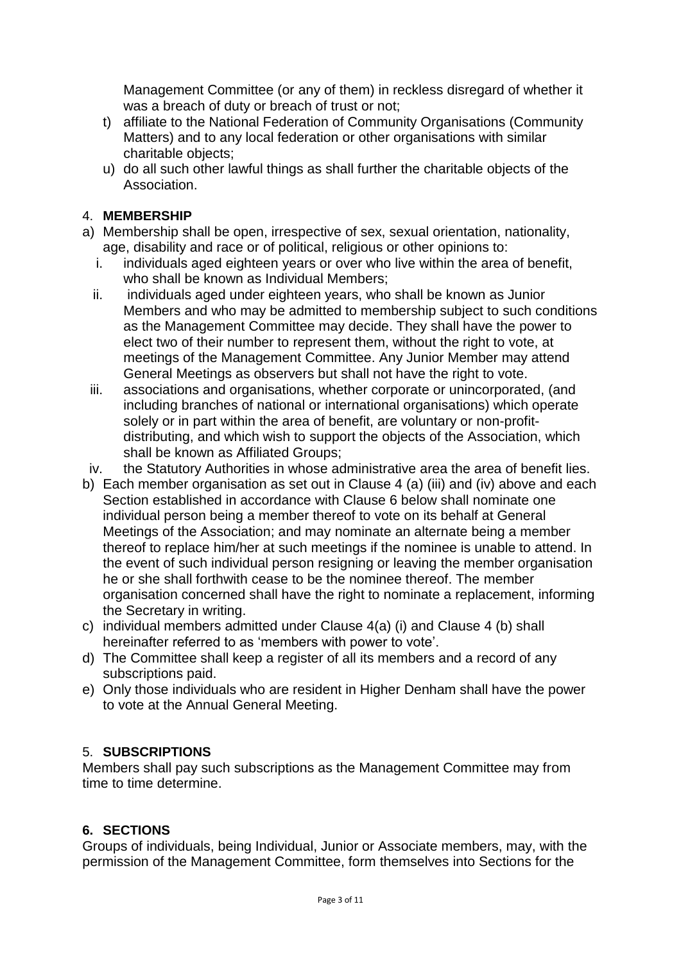Management Committee (or any of them) in reckless disregard of whether it was a breach of duty or breach of trust or not;

- t) affiliate to the National Federation of Community Organisations (Community Matters) and to any local federation or other organisations with similar charitable objects;
- u) do all such other lawful things as shall further the charitable objects of the Association.

### 4. **MEMBERSHIP**

- a) Membership shall be open, irrespective of sex, sexual orientation, nationality, age, disability and race or of political, religious or other opinions to:
	- i. individuals aged eighteen years or over who live within the area of benefit, who shall be known as Individual Members;
	- ii. individuals aged under eighteen years, who shall be known as Junior Members and who may be admitted to membership subject to such conditions as the Management Committee may decide. They shall have the power to elect two of their number to represent them, without the right to vote, at meetings of the Management Committee. Any Junior Member may attend General Meetings as observers but shall not have the right to vote.
	- iii. associations and organisations, whether corporate or unincorporated, (and including branches of national or international organisations) which operate solely or in part within the area of benefit, are voluntary or non-profitdistributing, and which wish to support the objects of the Association, which shall be known as Affiliated Groups;
- iv. the Statutory Authorities in whose administrative area the area of benefit lies.
- b) Each member organisation as set out in Clause 4 (a) (iii) and (iv) above and each Section established in accordance with Clause 6 below shall nominate one individual person being a member thereof to vote on its behalf at General Meetings of the Association; and may nominate an alternate being a member thereof to replace him/her at such meetings if the nominee is unable to attend. In the event of such individual person resigning or leaving the member organisation he or she shall forthwith cease to be the nominee thereof. The member organisation concerned shall have the right to nominate a replacement, informing the Secretary in writing.
- c) individual members admitted under Clause 4(a) (i) and Clause 4 (b) shall hereinafter referred to as 'members with power to vote'.
- d) The Committee shall keep a register of all its members and a record of any subscriptions paid.
- e) Only those individuals who are resident in Higher Denham shall have the power to vote at the Annual General Meeting.

#### 5. **SUBSCRIPTIONS**

Members shall pay such subscriptions as the Management Committee may from time to time determine.

#### **6. SECTIONS**

Groups of individuals, being Individual, Junior or Associate members, may, with the permission of the Management Committee, form themselves into Sections for the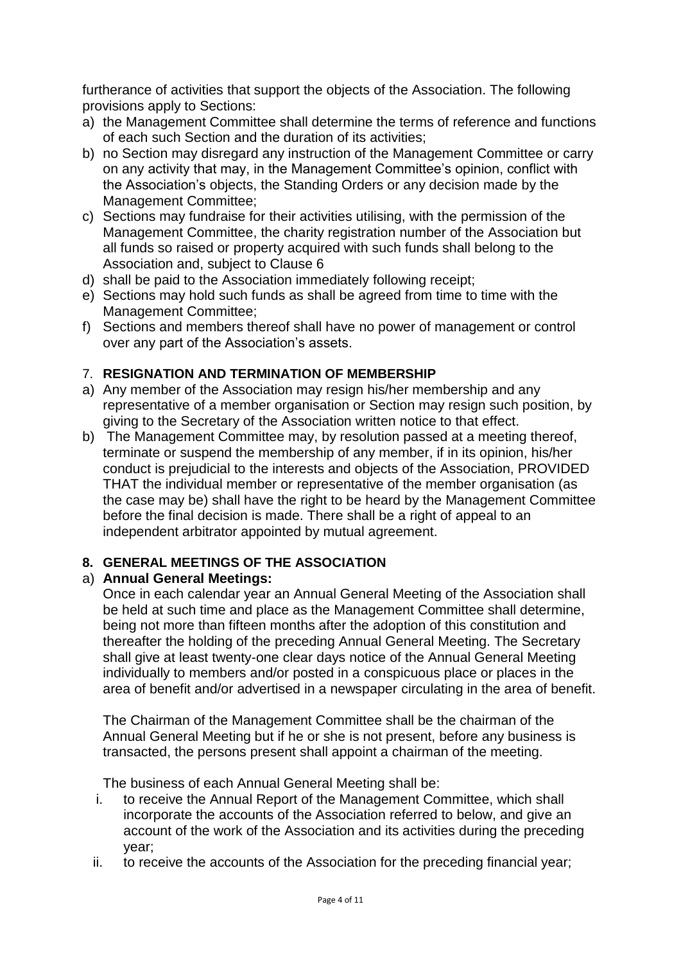furtherance of activities that support the objects of the Association. The following provisions apply to Sections:

- a) the Management Committee shall determine the terms of reference and functions of each such Section and the duration of its activities;
- b) no Section may disregard any instruction of the Management Committee or carry on any activity that may, in the Management Committee's opinion, conflict with the Association's objects, the Standing Orders or any decision made by the Management Committee;
- c) Sections may fundraise for their activities utilising, with the permission of the Management Committee, the charity registration number of the Association but all funds so raised or property acquired with such funds shall belong to the Association and, subject to Clause 6
- d) shall be paid to the Association immediately following receipt;
- e) Sections may hold such funds as shall be agreed from time to time with the Management Committee;
- f) Sections and members thereof shall have no power of management or control over any part of the Association's assets.

#### 7. **RESIGNATION AND TERMINATION OF MEMBERSHIP**

- a) Any member of the Association may resign his/her membership and any representative of a member organisation or Section may resign such position, by giving to the Secretary of the Association written notice to that effect.
- b) The Management Committee may, by resolution passed at a meeting thereof, terminate or suspend the membership of any member, if in its opinion, his/her conduct is prejudicial to the interests and objects of the Association, PROVIDED THAT the individual member or representative of the member organisation (as the case may be) shall have the right to be heard by the Management Committee before the final decision is made. There shall be a right of appeal to an independent arbitrator appointed by mutual agreement.

#### **8. GENERAL MEETINGS OF THE ASSOCIATION**

#### a) **Annual General Meetings:**

Once in each calendar year an Annual General Meeting of the Association shall be held at such time and place as the Management Committee shall determine, being not more than fifteen months after the adoption of this constitution and thereafter the holding of the preceding Annual General Meeting. The Secretary shall give at least twenty-one clear days notice of the Annual General Meeting individually to members and/or posted in a conspicuous place or places in the area of benefit and/or advertised in a newspaper circulating in the area of benefit.

The Chairman of the Management Committee shall be the chairman of the Annual General Meeting but if he or she is not present, before any business is transacted, the persons present shall appoint a chairman of the meeting.

The business of each Annual General Meeting shall be:

- i. to receive the Annual Report of the Management Committee, which shall incorporate the accounts of the Association referred to below, and give an account of the work of the Association and its activities during the preceding year;
- ii. to receive the accounts of the Association for the preceding financial year;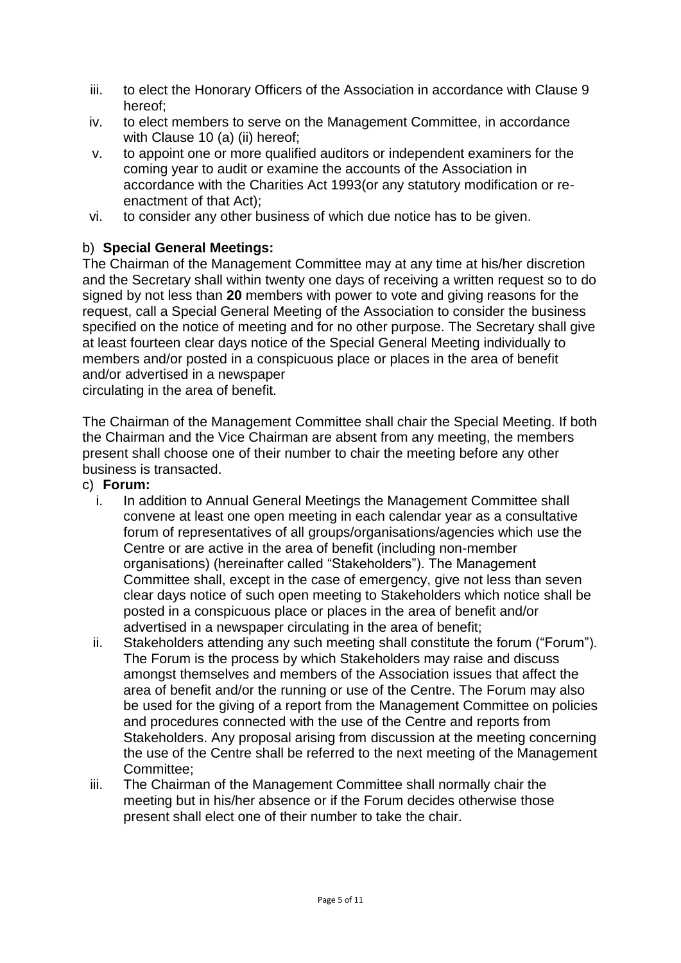- iii. to elect the Honorary Officers of the Association in accordance with Clause 9 hereof;
- iv. to elect members to serve on the Management Committee, in accordance with Clause 10 (a) (ii) hereof;
- v. to appoint one or more qualified auditors or independent examiners for the coming year to audit or examine the accounts of the Association in accordance with the Charities Act 1993(or any statutory modification or reenactment of that Act);
- vi. to consider any other business of which due notice has to be given.

# b) **Special General Meetings:**

The Chairman of the Management Committee may at any time at his/her discretion and the Secretary shall within twenty one days of receiving a written request so to do signed by not less than **20** members with power to vote and giving reasons for the request, call a Special General Meeting of the Association to consider the business specified on the notice of meeting and for no other purpose. The Secretary shall give at least fourteen clear days notice of the Special General Meeting individually to members and/or posted in a conspicuous place or places in the area of benefit and/or advertised in a newspaper

circulating in the area of benefit.

The Chairman of the Management Committee shall chair the Special Meeting. If both the Chairman and the Vice Chairman are absent from any meeting, the members present shall choose one of their number to chair the meeting before any other business is transacted.

- c) **Forum:**
	- i. In addition to Annual General Meetings the Management Committee shall convene at least one open meeting in each calendar year as a consultative forum of representatives of all groups/organisations/agencies which use the Centre or are active in the area of benefit (including non-member organisations) (hereinafter called "Stakeholders"). The Management Committee shall, except in the case of emergency, give not less than seven clear days notice of such open meeting to Stakeholders which notice shall be posted in a conspicuous place or places in the area of benefit and/or advertised in a newspaper circulating in the area of benefit;
	- ii. Stakeholders attending any such meeting shall constitute the forum ("Forum"). The Forum is the process by which Stakeholders may raise and discuss amongst themselves and members of the Association issues that affect the area of benefit and/or the running or use of the Centre. The Forum may also be used for the giving of a report from the Management Committee on policies and procedures connected with the use of the Centre and reports from Stakeholders. Any proposal arising from discussion at the meeting concerning the use of the Centre shall be referred to the next meeting of the Management Committee;
	- iii. The Chairman of the Management Committee shall normally chair the meeting but in his/her absence or if the Forum decides otherwise those present shall elect one of their number to take the chair.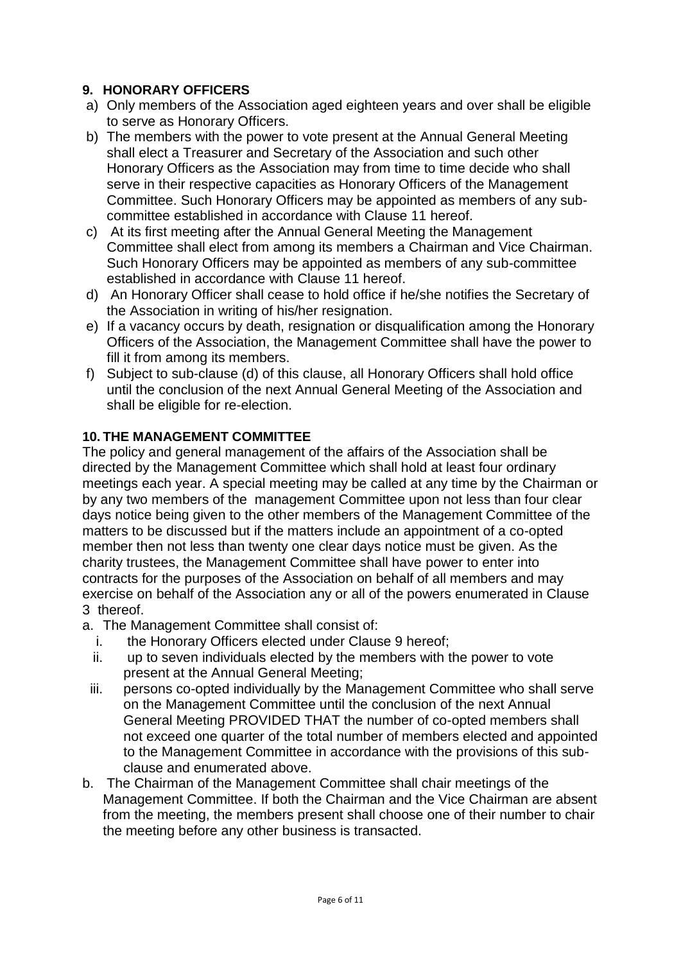#### **9. HONORARY OFFICERS**

- a) Only members of the Association aged eighteen years and over shall be eligible to serve as Honorary Officers.
- b) The members with the power to vote present at the Annual General Meeting shall elect a Treasurer and Secretary of the Association and such other Honorary Officers as the Association may from time to time decide who shall serve in their respective capacities as Honorary Officers of the Management Committee. Such Honorary Officers may be appointed as members of any subcommittee established in accordance with Clause 11 hereof.
- c) At its first meeting after the Annual General Meeting the Management Committee shall elect from among its members a Chairman and Vice Chairman. Such Honorary Officers may be appointed as members of any sub-committee established in accordance with Clause 11 hereof.
- d) An Honorary Officer shall cease to hold office if he/she notifies the Secretary of the Association in writing of his/her resignation.
- e) If a vacancy occurs by death, resignation or disqualification among the Honorary Officers of the Association, the Management Committee shall have the power to fill it from among its members.
- f) Subject to sub-clause (d) of this clause, all Honorary Officers shall hold office until the conclusion of the next Annual General Meeting of the Association and shall be eligible for re-election.

#### **10. THE MANAGEMENT COMMITTEE**

The policy and general management of the affairs of the Association shall be directed by the Management Committee which shall hold at least four ordinary meetings each year. A special meeting may be called at any time by the Chairman or by any two members of the management Committee upon not less than four clear days notice being given to the other members of the Management Committee of the matters to be discussed but if the matters include an appointment of a co-opted member then not less than twenty one clear days notice must be given. As the charity trustees, the Management Committee shall have power to enter into contracts for the purposes of the Association on behalf of all members and may exercise on behalf of the Association any or all of the powers enumerated in Clause 3 thereof.

- a. The Management Committee shall consist of:
	- i. the Honorary Officers elected under Clause 9 hereof;
	- ii. up to seven individuals elected by the members with the power to vote present at the Annual General Meeting;
	- iii. persons co-opted individually by the Management Committee who shall serve on the Management Committee until the conclusion of the next Annual General Meeting PROVIDED THAT the number of co-opted members shall not exceed one quarter of the total number of members elected and appointed to the Management Committee in accordance with the provisions of this subclause and enumerated above.
- b. The Chairman of the Management Committee shall chair meetings of the Management Committee. If both the Chairman and the Vice Chairman are absent from the meeting, the members present shall choose one of their number to chair the meeting before any other business is transacted.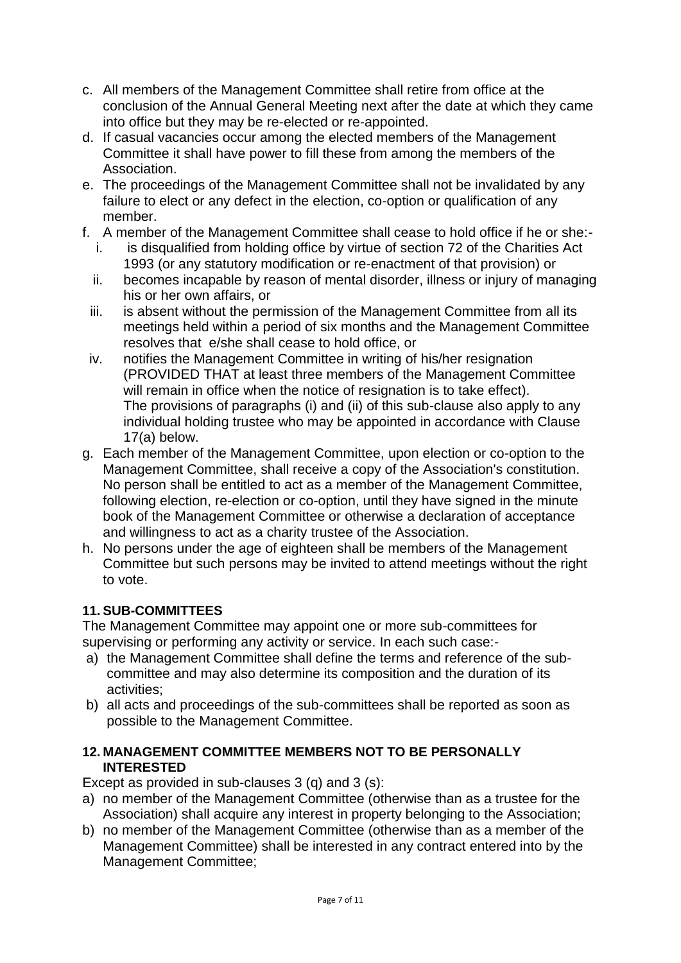- c. All members of the Management Committee shall retire from office at the conclusion of the Annual General Meeting next after the date at which they came into office but they may be re-elected or re-appointed.
- d. If casual vacancies occur among the elected members of the Management Committee it shall have power to fill these from among the members of the Association.
- e. The proceedings of the Management Committee shall not be invalidated by any failure to elect or any defect in the election, co-option or qualification of any member.
- f. A member of the Management Committee shall cease to hold office if he or she:
	- i. is disqualified from holding office by virtue of section 72 of the Charities Act 1993 (or any statutory modification or re-enactment of that provision) or
	- ii. becomes incapable by reason of mental disorder, illness or injury of managing his or her own affairs, or
	- iii. is absent without the permission of the Management Committee from all its meetings held within a period of six months and the Management Committee resolves that e/she shall cease to hold office, or
- iv. notifies the Management Committee in writing of his/her resignation (PROVIDED THAT at least three members of the Management Committee will remain in office when the notice of resignation is to take effect). The provisions of paragraphs (i) and (ii) of this sub-clause also apply to any individual holding trustee who may be appointed in accordance with Clause 17(a) below.
- g. Each member of the Management Committee, upon election or co-option to the Management Committee, shall receive a copy of the Association's constitution. No person shall be entitled to act as a member of the Management Committee, following election, re-election or co-option, until they have signed in the minute book of the Management Committee or otherwise a declaration of acceptance and willingness to act as a charity trustee of the Association.
- h. No persons under the age of eighteen shall be members of the Management Committee but such persons may be invited to attend meetings without the right to vote.

# **11. SUB-COMMITTEES**

The Management Committee may appoint one or more sub-committees for supervising or performing any activity or service. In each such case:-

- a) the Management Committee shall define the terms and reference of the subcommittee and may also determine its composition and the duration of its activities;
- b) all acts and proceedings of the sub-committees shall be reported as soon as possible to the Management Committee.

#### **12. MANAGEMENT COMMITTEE MEMBERS NOT TO BE PERSONALLY INTERESTED**

Except as provided in sub-clauses 3 (q) and 3 (s):

- a) no member of the Management Committee (otherwise than as a trustee for the Association) shall acquire any interest in property belonging to the Association;
- b) no member of the Management Committee (otherwise than as a member of the Management Committee) shall be interested in any contract entered into by the Management Committee;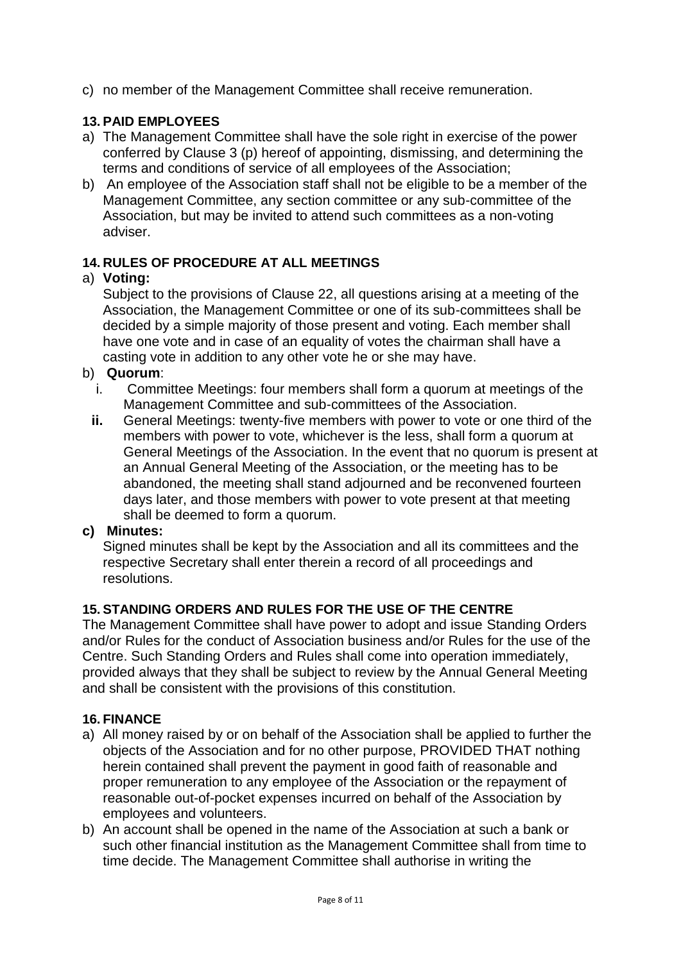c) no member of the Management Committee shall receive remuneration.

## **13. PAID EMPLOYEES**

- a) The Management Committee shall have the sole right in exercise of the power conferred by Clause 3 (p) hereof of appointing, dismissing, and determining the terms and conditions of service of all employees of the Association;
- b) An employee of the Association staff shall not be eligible to be a member of the Management Committee, any section committee or any sub-committee of the Association, but may be invited to attend such committees as a non-voting adviser.

#### **14. RULES OF PROCEDURE AT ALL MEETINGS**

#### a) **Voting:**

Subject to the provisions of Clause 22, all questions arising at a meeting of the Association, the Management Committee or one of its sub-committees shall be decided by a simple majority of those present and voting. Each member shall have one vote and in case of an equality of votes the chairman shall have a casting vote in addition to any other vote he or she may have.

- b) **Quorum**:
	- i. Committee Meetings: four members shall form a quorum at meetings of the Management Committee and sub-committees of the Association.
	- **ii.** General Meetings: twenty-five members with power to vote or one third of the members with power to vote, whichever is the less, shall form a quorum at General Meetings of the Association. In the event that no quorum is present at an Annual General Meeting of the Association, or the meeting has to be abandoned, the meeting shall stand adjourned and be reconvened fourteen days later, and those members with power to vote present at that meeting shall be deemed to form a quorum.

#### **c) Minutes:**

Signed minutes shall be kept by the Association and all its committees and the respective Secretary shall enter therein a record of all proceedings and resolutions.

# **15. STANDING ORDERS AND RULES FOR THE USE OF THE CENTRE**

The Management Committee shall have power to adopt and issue Standing Orders and/or Rules for the conduct of Association business and/or Rules for the use of the Centre. Such Standing Orders and Rules shall come into operation immediately, provided always that they shall be subject to review by the Annual General Meeting and shall be consistent with the provisions of this constitution.

#### **16. FINANCE**

- a) All money raised by or on behalf of the Association shall be applied to further the objects of the Association and for no other purpose, PROVIDED THAT nothing herein contained shall prevent the payment in good faith of reasonable and proper remuneration to any employee of the Association or the repayment of reasonable out-of-pocket expenses incurred on behalf of the Association by employees and volunteers.
- b) An account shall be opened in the name of the Association at such a bank or such other financial institution as the Management Committee shall from time to time decide. The Management Committee shall authorise in writing the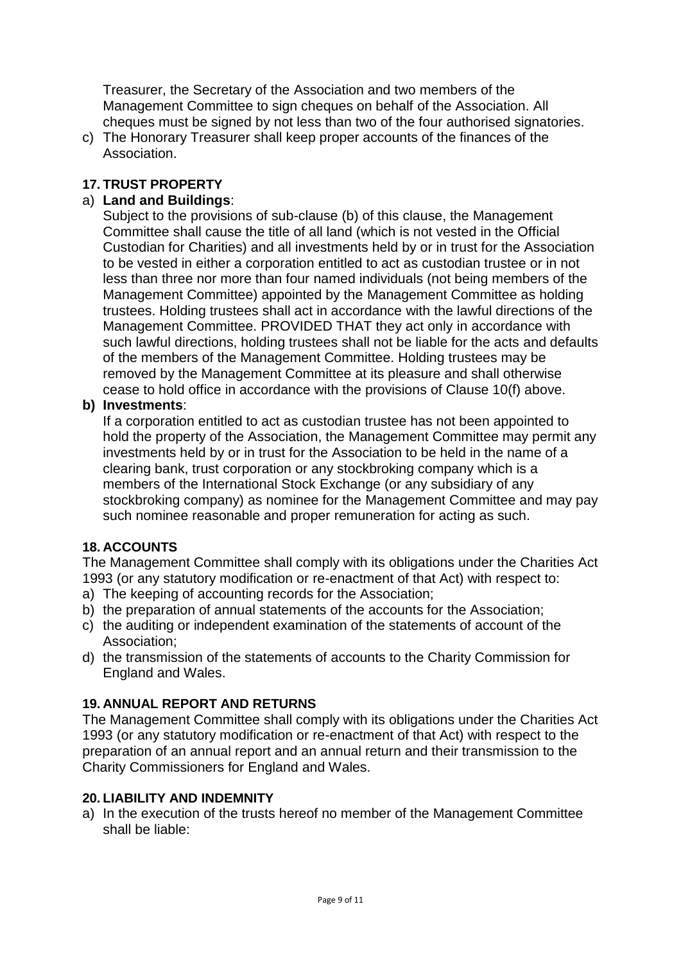Treasurer, the Secretary of the Association and two members of the Management Committee to sign cheques on behalf of the Association. All cheques must be signed by not less than two of the four authorised signatories.

c) The Honorary Treasurer shall keep proper accounts of the finances of the Association.

#### **17. TRUST PROPERTY**

#### a) **Land and Buildings**:

Subject to the provisions of sub-clause (b) of this clause, the Management Committee shall cause the title of all land (which is not vested in the Official Custodian for Charities) and all investments held by or in trust for the Association to be vested in either a corporation entitled to act as custodian trustee or in not less than three nor more than four named individuals (not being members of the Management Committee) appointed by the Management Committee as holding trustees. Holding trustees shall act in accordance with the lawful directions of the Management Committee. PROVIDED THAT they act only in accordance with such lawful directions, holding trustees shall not be liable for the acts and defaults of the members of the Management Committee. Holding trustees may be removed by the Management Committee at its pleasure and shall otherwise cease to hold office in accordance with the provisions of Clause 10(f) above.

#### **b) Investments**:

If a corporation entitled to act as custodian trustee has not been appointed to hold the property of the Association, the Management Committee may permit any investments held by or in trust for the Association to be held in the name of a clearing bank, trust corporation or any stockbroking company which is a members of the International Stock Exchange (or any subsidiary of any stockbroking company) as nominee for the Management Committee and may pay such nominee reasonable and proper remuneration for acting as such.

#### **18. ACCOUNTS**

The Management Committee shall comply with its obligations under the Charities Act 1993 (or any statutory modification or re-enactment of that Act) with respect to:

- a) The keeping of accounting records for the Association;
- b) the preparation of annual statements of the accounts for the Association;
- c) the auditing or independent examination of the statements of account of the Association;
- d) the transmission of the statements of accounts to the Charity Commission for England and Wales.

#### **19. ANNUAL REPORT AND RETURNS**

The Management Committee shall comply with its obligations under the Charities Act 1993 (or any statutory modification or re-enactment of that Act) with respect to the preparation of an annual report and an annual return and their transmission to the Charity Commissioners for England and Wales.

#### **20. LIABILITY AND INDEMNITY**

a) In the execution of the trusts hereof no member of the Management Committee shall be liable: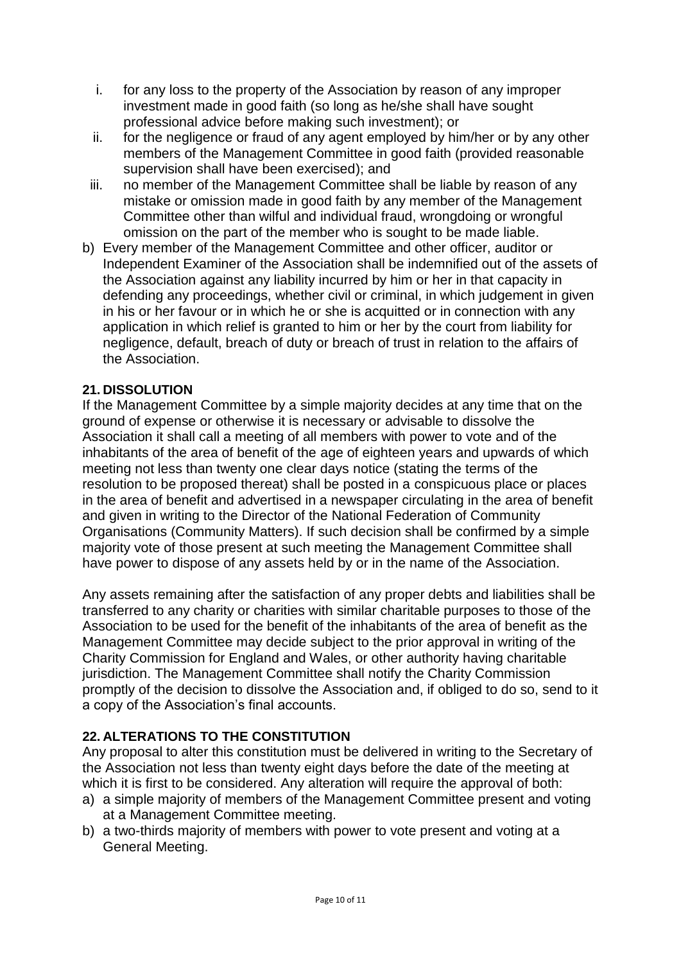- i. for any loss to the property of the Association by reason of any improper investment made in good faith (so long as he/she shall have sought professional advice before making such investment); or
- ii. for the negligence or fraud of any agent employed by him/her or by any other members of the Management Committee in good faith (provided reasonable supervision shall have been exercised); and
- iii. no member of the Management Committee shall be liable by reason of any mistake or omission made in good faith by any member of the Management Committee other than wilful and individual fraud, wrongdoing or wrongful omission on the part of the member who is sought to be made liable.
- b) Every member of the Management Committee and other officer, auditor or Independent Examiner of the Association shall be indemnified out of the assets of the Association against any liability incurred by him or her in that capacity in defending any proceedings, whether civil or criminal, in which judgement in given in his or her favour or in which he or she is acquitted or in connection with any application in which relief is granted to him or her by the court from liability for negligence, default, breach of duty or breach of trust in relation to the affairs of the Association.

#### **21. DISSOLUTION**

If the Management Committee by a simple majority decides at any time that on the ground of expense or otherwise it is necessary or advisable to dissolve the Association it shall call a meeting of all members with power to vote and of the inhabitants of the area of benefit of the age of eighteen years and upwards of which meeting not less than twenty one clear days notice (stating the terms of the resolution to be proposed thereat) shall be posted in a conspicuous place or places in the area of benefit and advertised in a newspaper circulating in the area of benefit and given in writing to the Director of the National Federation of Community Organisations (Community Matters). If such decision shall be confirmed by a simple majority vote of those present at such meeting the Management Committee shall have power to dispose of any assets held by or in the name of the Association.

Any assets remaining after the satisfaction of any proper debts and liabilities shall be transferred to any charity or charities with similar charitable purposes to those of the Association to be used for the benefit of the inhabitants of the area of benefit as the Management Committee may decide subject to the prior approval in writing of the Charity Commission for England and Wales, or other authority having charitable jurisdiction. The Management Committee shall notify the Charity Commission promptly of the decision to dissolve the Association and, if obliged to do so, send to it a copy of the Association's final accounts.

#### **22. ALTERATIONS TO THE CONSTITUTION**

Any proposal to alter this constitution must be delivered in writing to the Secretary of the Association not less than twenty eight days before the date of the meeting at which it is first to be considered. Any alteration will require the approval of both:

- a) a simple majority of members of the Management Committee present and voting at a Management Committee meeting.
- b) a two-thirds majority of members with power to vote present and voting at a General Meeting.